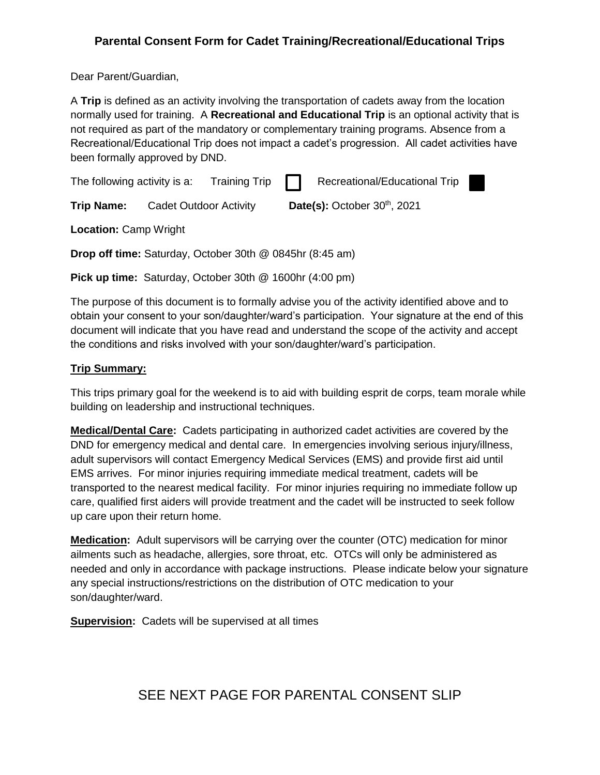## **Parental Consent Form for Cadet Training/Recreational/Educational Trips**

Dear Parent/Guardian,

A **Trip** is defined as an activity involving the transportation of cadets away from the location normally used for training. A **Recreational and Educational Trip** is an optional activity that is not required as part of the mandatory or complementary training programs. Absence from a Recreational/Educational Trip does not impact a cadet's progression. All cadet activities have been formally approved by DND.

X

| The following activity is a: |                               | Training Trip $\Box$ |                                | Recreational/Educational Trip |
|------------------------------|-------------------------------|----------------------|--------------------------------|-------------------------------|
| <b>Trip Name:</b>            | <b>Cadet Outdoor Activity</b> |                      | Date(s): October $30th$ , 2021 |                               |

**Location:** Camp Wright

**Drop off time:** Saturday, October 30th @ 0845hr (8:45 am)

**Pick up time:** Saturday, October 30th @ 1600hr (4:00 pm)

The purpose of this document is to formally advise you of the activity identified above and to obtain your consent to your son/daughter/ward's participation. Your signature at the end of this document will indicate that you have read and understand the scope of the activity and accept the conditions and risks involved with your son/daughter/ward's participation.

### **Trip Summary:**

This trips primary goal for the weekend is to aid with building esprit de corps, team morale while building on leadership and instructional techniques.

**Medical/Dental Care:** Cadets participating in authorized cadet activities are covered by the DND for emergency medical and dental care. In emergencies involving serious injury/illness, adult supervisors will contact Emergency Medical Services (EMS) and provide first aid until EMS arrives. For minor injuries requiring immediate medical treatment, cadets will be transported to the nearest medical facility. For minor injuries requiring no immediate follow up care, qualified first aiders will provide treatment and the cadet will be instructed to seek follow up care upon their return home.

**Medication:** Adult supervisors will be carrying over the counter (OTC) medication for minor ailments such as headache, allergies, sore throat, etc. OTCs will only be administered as needed and only in accordance with package instructions. Please indicate below your signature any special instructions/restrictions on the distribution of OTC medication to your son/daughter/ward.

**Supervision:** Cadets will be supervised at all times

# SEE NEXT PAGE FOR PARENTAL CONSENT SLIP